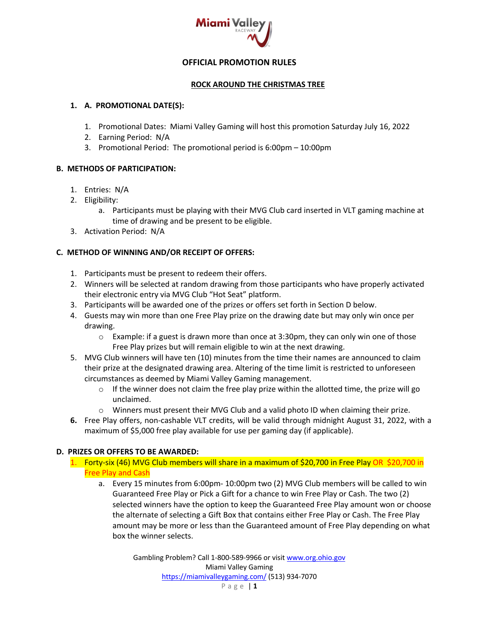

## **OFFICIAL PROMOTION RULES**

### **ROCK AROUND THE CHRISTMAS TREE**

#### **1. A. PROMOTIONAL DATE(S):**

- 1. Promotional Dates: Miami Valley Gaming will host this promotion Saturday July 16, 2022
- 2. Earning Period: N/A
- 3. Promotional Period: The promotional period is 6:00pm 10:00pm

### **B. METHODS OF PARTICIPATION:**

- 1. Entries: N/A
- 2. Eligibility:
	- a. Participants must be playing with their MVG Club card inserted in VLT gaming machine at time of drawing and be present to be eligible.
- 3. Activation Period: N/A

### **C. METHOD OF WINNING AND/OR RECEIPT OF OFFERS:**

- 1. Participants must be present to redeem their offers.
- 2. Winners will be selected at random drawing from those participants who have properly activated their electronic entry via MVG Club "Hot Seat" platform.
- 3. Participants will be awarded one of the prizes or offers set forth in Section D below.
- 4. Guests may win more than one Free Play prize on the drawing date but may only win once per drawing.
	- o Example: if a guest is drawn more than once at 3:30pm, they can only win one of those Free Play prizes but will remain eligible to win at the next drawing.
- 5. MVG Club winners will have ten (10) minutes from the time their names are announced to claim their prize at the designated drawing area. Altering of the time limit is restricted to unforeseen circumstances as deemed by Miami Valley Gaming management.
	- o If the winner does not claim the free play prize within the allotted time, the prize will go unclaimed.
	- $\circ$  Winners must present their MVG Club and a valid photo ID when claiming their prize.
- **6.** Free Play offers, non-cashable VLT credits, will be valid through midnight August 31, 2022, with a maximum of \$5,000 free play available for use per gaming day (if applicable).

### **D. PRIZES OR OFFERS TO BE AWARDED:**

- 1. Forty-six (46) MVG Club members will share in a maximum of \$20,700 in Free Play OR \$20,700 in Free Play and Cash
	- a. Every 15 minutes from 6:00pm- 10:00pm two (2) MVG Club members will be called to win Guaranteed Free Play or Pick a Gift for a chance to win Free Play or Cash. The two (2) selected winners have the option to keep the Guaranteed Free Play amount won or choose the alternate of selecting a Gift Box that contains either Free Play or Cash. The Free Play amount may be more or less than the Guaranteed amount of Free Play depending on what box the winner selects.

Gambling Problem? Call 1-800-589-9966 or visit www.org.ohio.gov Miami Valley Gaming https://miamivalleygaming.com/ (513) 934-7070